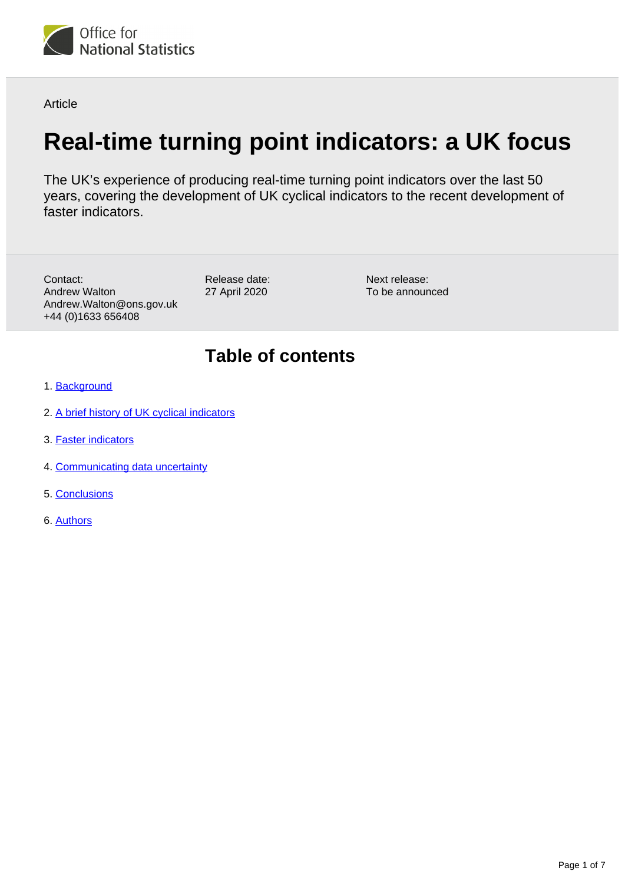

Article

# **Real-time turning point indicators: a UK focus**

The UK's experience of producing real-time turning point indicators over the last 50 years, covering the development of UK cyclical indicators to the recent development of faster indicators.

Contact: Andrew Walton Andrew.Walton@ons.gov.uk +44 (0)1633 656408

Release date: 27 April 2020

Next release: To be announced

## **Table of contents**

- 1. [Background](#page-1-0)
- 2. [A brief history of UK cyclical indicators](#page-1-1)
- 3. [Faster indicators](#page-2-0)
- 4. [Communicating data uncertainty](#page-4-0)
- 5. [Conclusions](#page-6-0)
- 6. [Authors](#page-6-1)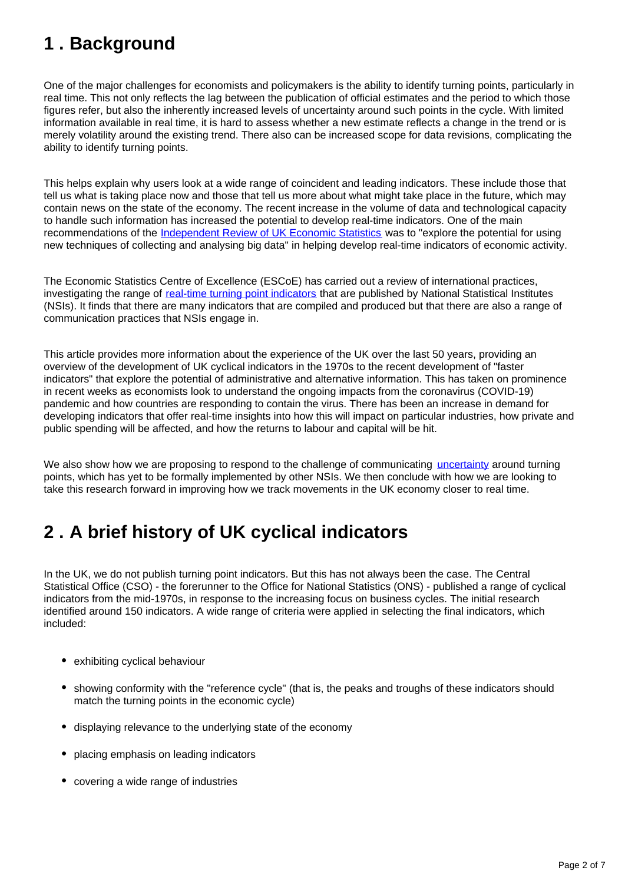# <span id="page-1-0"></span>**1 . Background**

One of the major challenges for economists and policymakers is the ability to identify turning points, particularly in real time. This not only reflects the lag between the publication of official estimates and the period to which those figures refer, but also the inherently increased levels of uncertainty around such points in the cycle. With limited information available in real time, it is hard to assess whether a new estimate reflects a change in the trend or is merely volatility around the existing trend. There also can be increased scope for data revisions, complicating the ability to identify turning points.

This helps explain why users look at a wide range of coincident and leading indicators. These include those that tell us what is taking place now and those that tell us more about what might take place in the future, which may contain news on the state of the economy. The recent increase in the volume of data and technological capacity to handle such information has increased the potential to develop real-time indicators. One of the main recommendations of the [Independent Review of UK Economic Statistics](https://assets.publishing.service.gov.uk/government/uploads/system/uploads/attachment_data/file/507081/2904936_Bean_Review_Web_Accessible.pdf) was to "explore the potential for using new techniques of collecting and analysing big data" in helping develop real-time indicators of economic activity.

The Economic Statistics Centre of Excellence (ESCoE) has carried out a review of international practices, investigating the range of [real-time turning point indicators](https://www.ons.gov.uk/economy/nationalaccounts/uksectoraccounts/articles/realtimeturningpointindicators/2020-04-16) that are published by National Statistical Institutes (NSIs). It finds that there are many indicators that are compiled and produced but that there are also a range of communication practices that NSIs engage in.

This article provides more information about the experience of the UK over the last 50 years, providing an overview of the development of UK cyclical indicators in the 1970s to the recent development of "faster indicators" that explore the potential of administrative and alternative information. This has taken on prominence in recent weeks as economists look to understand the ongoing impacts from the coronavirus (COVID-19) pandemic and how countries are responding to contain the virus. There has been an increase in demand for developing indicators that offer real-time insights into how this will impact on particular industries, how private and public spending will be affected, and how the returns to labour and capital will be hit.

We also show how we are proposing to respond to the challenge of communicating [uncertainty](https://www.ons.gov.uk/methodology/methodologytopicsandstatisticalconcepts/uncertaintyandhowwemeasureit#what-is-uncertainty) around turning points, which has yet to be formally implemented by other NSIs. We then conclude with how we are looking to take this research forward in improving how we track movements in the UK economy closer to real time.

# <span id="page-1-1"></span>**2 . A brief history of UK cyclical indicators**

In the UK, we do not publish turning point indicators. But this has not always been the case. The Central Statistical Office (CSO) - the forerunner to the Office for National Statistics (ONS) - published a range of cyclical indicators from the mid-1970s, in response to the increasing focus on business cycles. The initial research identified around 150 indicators. A wide range of criteria were applied in selecting the final indicators, which included:

- exhibiting cyclical behaviour
- showing conformity with the "reference cycle" (that is, the peaks and troughs of these indicators should match the turning points in the economic cycle)
- displaying relevance to the underlying state of the economy
- placing emphasis on leading indicators
- covering a wide range of industries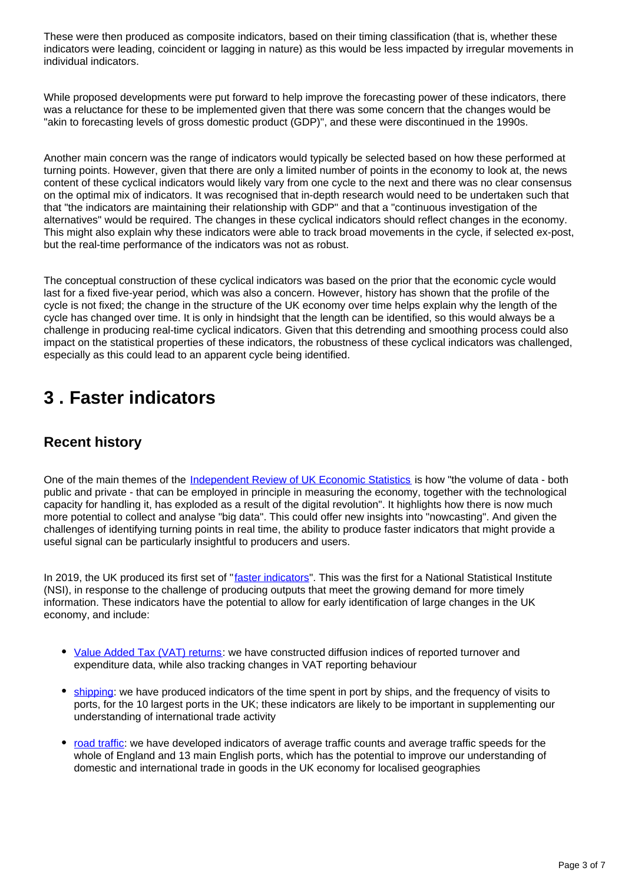These were then produced as composite indicators, based on their timing classification (that is, whether these indicators were leading, coincident or lagging in nature) as this would be less impacted by irregular movements in individual indicators.

While proposed developments were put forward to help improve the forecasting power of these indicators, there was a reluctance for these to be implemented given that there was some concern that the changes would be "akin to forecasting levels of gross domestic product (GDP)", and these were discontinued in the 1990s.

Another main concern was the range of indicators would typically be selected based on how these performed at turning points. However, given that there are only a limited number of points in the economy to look at, the news content of these cyclical indicators would likely vary from one cycle to the next and there was no clear consensus on the optimal mix of indicators. It was recognised that in-depth research would need to be undertaken such that that "the indicators are maintaining their relationship with GDP" and that a "continuous investigation of the alternatives" would be required. The changes in these cyclical indicators should reflect changes in the economy. This might also explain why these indicators were able to track broad movements in the cycle, if selected ex-post, but the real-time performance of the indicators was not as robust.

The conceptual construction of these cyclical indicators was based on the prior that the economic cycle would last for a fixed five-year period, which was also a concern. However, history has shown that the profile of the cycle is not fixed; the change in the structure of the UK economy over time helps explain why the length of the cycle has changed over time. It is only in hindsight that the length can be identified, so this would always be a challenge in producing real-time cyclical indicators. Given that this detrending and smoothing process could also impact on the statistical properties of these indicators, the robustness of these cyclical indicators was challenged, especially as this could lead to an apparent cycle being identified.

### <span id="page-2-0"></span>**3 . Faster indicators**

#### **Recent history**

One of the main themes of the [Independent Review of UK Economic Statistics](https://assets.publishing.service.gov.uk/government/uploads/system/uploads/attachment_data/file/507081/2904936_Bean_Review_Web_Accessible.pdf) is how "the volume of data - both public and private - that can be employed in principle in measuring the economy, together with the technological capacity for handling it, has exploded as a result of the digital revolution". It highlights how there is now much more potential to collect and analyse "big data". This could offer new insights into "nowcasting". And given the challenges of identifying turning points in real time, the ability to produce faster indicators that might provide a useful signal can be particularly insightful to producers and users.

In 2019, the UK produced its first set of "*faster indicators*". This was the first for a National Statistical Institute (NSI), in response to the challenge of producing outputs that meet the growing demand for more timely information. These indicators have the potential to allow for early identification of large changes in the UK economy, and include:

- [Value Added Tax \(VAT\) returns:](https://datasciencecampus.ons.gov.uk/projects/faster-indicators-of-uk-economic-activity-value-added-tax-returns/) we have constructed diffusion indices of reported turnover and expenditure data, while also tracking changes in VAT reporting behaviour
- [shipping](https://datasciencecampus.ons.gov.uk/projects/faster-indicators-of-uk-economic-activity-shipping/): we have produced indicators of the time spent in port by ships, and the frequency of visits to ports, for the 10 largest ports in the UK; these indicators are likely to be important in supplementing our understanding of international trade activity
- [road traffic](https://datasciencecampus.ons.gov.uk/projects/faster-indicators-of-uk-economic-activity-road-traffic-data-for-england/): we have developed indicators of average traffic counts and average traffic speeds for the whole of England and 13 main English ports, which has the potential to improve our understanding of domestic and international trade in goods in the UK economy for localised geographies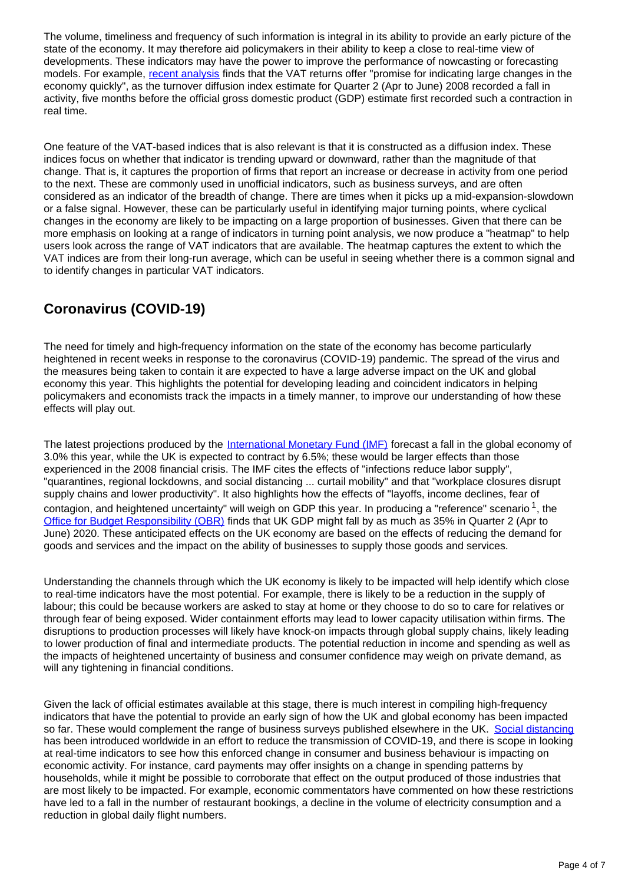The volume, timeliness and frequency of such information is integral in its ability to provide an early picture of the state of the economy. It may therefore aid policymakers in their ability to keep a close to real-time view of developments. These indicators may have the power to improve the performance of nowcasting or forecasting models. For example, [recent analysis](https://datasciencecampus.ons.gov.uk/projects/faster-indicators-of-uk-economic-activity-value-added-tax-returns/) finds that the VAT returns offer "promise for indicating large changes in the economy quickly", as the turnover diffusion index estimate for Quarter 2 (Apr to June) 2008 recorded a fall in activity, five months before the official gross domestic product (GDP) estimate first recorded such a contraction in real time.

One feature of the VAT-based indices that is also relevant is that it is constructed as a diffusion index. These indices focus on whether that indicator is trending upward or downward, rather than the magnitude of that change. That is, it captures the proportion of firms that report an increase or decrease in activity from one period to the next. These are commonly used in unofficial indicators, such as business surveys, and are often considered as an indicator of the breadth of change. There are times when it picks up a mid-expansion-slowdown or a false signal. However, these can be particularly useful in identifying major turning points, where cyclical changes in the economy are likely to be impacting on a large proportion of businesses. Given that there can be more emphasis on looking at a range of indicators in turning point analysis, we now produce a "heatmap" to help users look across the range of VAT indicators that are available. The heatmap captures the extent to which the VAT indices are from their long-run average, which can be useful in seeing whether there is a common signal and to identify changes in particular VAT indicators.

#### **Coronavirus (COVID-19)**

The need for timely and high-frequency information on the state of the economy has become particularly heightened in recent weeks in response to the coronavirus (COVID-19) pandemic. The spread of the virus and the measures being taken to contain it are expected to have a large adverse impact on the UK and global economy this year. This highlights the potential for developing leading and coincident indicators in helping policymakers and economists track the impacts in a timely manner, to improve our understanding of how these effects will play out.

The latest projections produced by the *International Monetary Fund (IMF)* forecast a fall in the global economy of 3.0% this year, while the UK is expected to contract by 6.5%; these would be larger effects than those experienced in the 2008 financial crisis. The IMF cites the effects of "infections reduce labor supply", "quarantines, regional lockdowns, and social distancing ... curtail mobility" and that "workplace closures disrupt supply chains and lower productivity". It also highlights how the effects of "layoffs, income declines, fear of contagion, and heightened uncertainty" will weigh on GDP this year. In producing a "reference" scenario  $1$ , the [Office for Budget Responsibility \(OBR\)](https://cdn.obr.uk/Coronavirus_reference_scenario_commentary.pdf) finds that UK GDP might fall by as much as 35% in Quarter 2 (Apr to June) 2020. These anticipated effects on the UK economy are based on the effects of reducing the demand for goods and services and the impact on the ability of businesses to supply those goods and services.

Understanding the channels through which the UK economy is likely to be impacted will help identify which close to real-time indicators have the most potential. For example, there is likely to be a reduction in the supply of labour; this could be because workers are asked to stay at home or they choose to do so to care for relatives or through fear of being exposed. Wider containment efforts may lead to lower capacity utilisation within firms. The disruptions to production processes will likely have knock-on impacts through global supply chains, likely leading to lower production of final and intermediate products. The potential reduction in income and spending as well as the impacts of heightened uncertainty of business and consumer confidence may weigh on private demand, as will any tightening in financial conditions.

Given the lack of official estimates available at this stage, there is much interest in compiling high-frequency indicators that have the potential to provide an early sign of how the UK and global economy has been impacted so far. These would complement the range of business surveys published elsewhere in the UK. [Social distancing](https://www.gov.uk/government/publications/covid-19-guidance-on-social-distancing-and-for-vulnerable-people/guidance-on-social-distancing-for-everyone-in-the-uk-and-protecting-older-people-and-vulnerable-adults) has been introduced worldwide in an effort to reduce the transmission of COVID-19, and there is scope in looking at real-time indicators to see how this enforced change in consumer and business behaviour is impacting on economic activity. For instance, card payments may offer insights on a change in spending patterns by households, while it might be possible to corroborate that effect on the output produced of those industries that are most likely to be impacted. For example, economic commentators have commented on how these restrictions have led to a fall in the number of restaurant bookings, a decline in the volume of electricity consumption and a reduction in global daily flight numbers.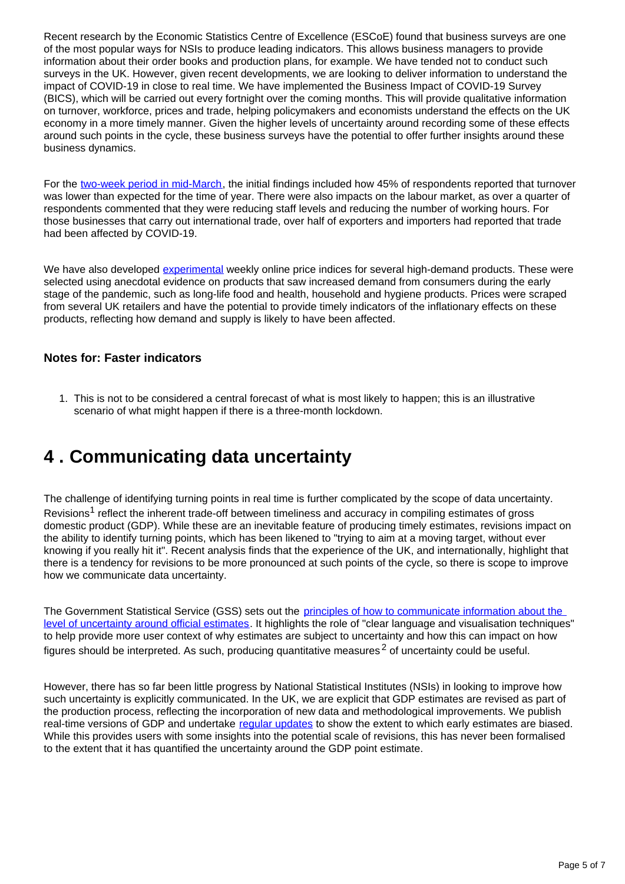Recent research by the Economic Statistics Centre of Excellence (ESCoE) found that business surveys are one of the most popular ways for NSIs to produce leading indicators. This allows business managers to provide information about their order books and production plans, for example. We have tended not to conduct such surveys in the UK. However, given recent developments, we are looking to deliver information to understand the impact of COVID-19 in close to real time. We have implemented the Business Impact of COVID-19 Survey (BICS), which will be carried out every fortnight over the coming months. This will provide qualitative information on turnover, workforce, prices and trade, helping policymakers and economists understand the effects on the UK economy in a more timely manner. Given the higher levels of uncertainty around recording some of these effects around such points in the cycle, these business surveys have the potential to offer further insights around these business dynamics.

For the [two-week period in mid-March,](https://www.ons.gov.uk/peoplepopulationandcommunity/healthandsocialcare/conditionsanddiseases/bulletins/coronavirustheukeconomyandsocietyfasterindicators/dataasat2april2020) the initial findings included how 45% of respondents reported that turnover was lower than expected for the time of year. There were also impacts on the labour market, as over a quarter of respondents commented that they were reducing staff levels and reducing the number of working hours. For those businesses that carry out international trade, over half of exporters and importers had reported that trade had been affected by COVID-19.

We have also developed [experimental](https://www.ons.gov.uk/methodology/methodologytopicsandstatisticalconcepts/guidetoexperimentalstatistics) weekly online price indices for several high-demand products. These were selected using anecdotal evidence on products that saw increased demand from consumers during the early stage of the pandemic, such as long-life food and health, household and hygiene products. Prices were scraped from several UK retailers and have the potential to provide timely indicators of the inflationary effects on these products, reflecting how demand and supply is likely to have been affected.

#### **Notes for: Faster indicators**

1. This is not to be considered a central forecast of what is most likely to happen; this is an illustrative scenario of what might happen if there is a three-month lockdown.

### <span id="page-4-0"></span>**4 . Communicating data uncertainty**

The challenge of identifying turning points in real time is further complicated by the scope of data uncertainty. Revisions<sup>1</sup> reflect the inherent trade-off between timeliness and accuracy in compiling estimates of gross domestic product (GDP). While these are an inevitable feature of producing timely estimates, revisions impact on the ability to identify turning points, which has been likened to "trying to aim at a moving target, without ever knowing if you really hit it". Recent analysis finds that the experience of the UK, and internationally, highlight that there is a tendency for revisions to be more pronounced at such points of the cycle, so there is scope to improve how we communicate data uncertainty.

The Government Statistical Service (GSS) sets out the principles of how to communicate information about the [level of uncertainty around official estimates](https://gss.civilservice.gov.uk/wp-content/uploads/2018/12/Communicating_Quality_Uncertainty_and_Change_for_publication.pdf). It highlights the role of "clear language and visualisation techniques" to help provide more user context of why estimates are subject to uncertainty and how this can impact on how figures should be interpreted. As such, producing quantitative measures<sup>2</sup> of uncertainty could be useful.

However, there has so far been little progress by National Statistical Institutes (NSIs) in looking to improve how such uncertainty is explicitly communicated. In the UK, we are explicit that GDP estimates are revised as part of the production process, reflecting the incorporation of new data and methodological improvements. We publish real-time versions of GDP and undertake [regular updates](https://www.ons.gov.uk/economy/nationalaccounts/uksectoraccounts/articles/analysisofgdprevisionsinbluebooks2019/2020-03-13) to show the extent to which early estimates are biased. While this provides users with some insights into the potential scale of revisions, this has never been formalised to the extent that it has quantified the uncertainty around the GDP point estimate.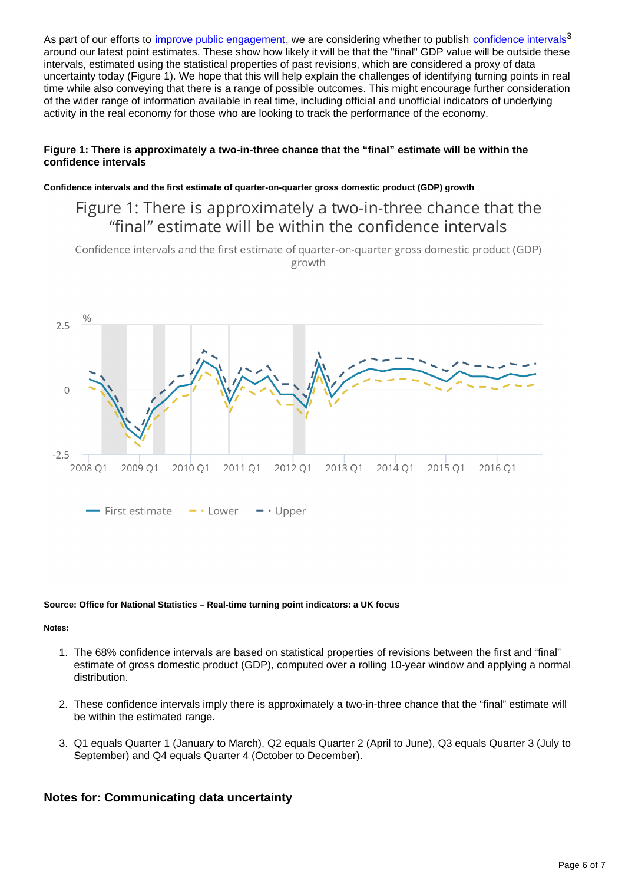As part of our efforts to *[improve public engagement](https://royalsocietypublishing.org/doi/pdf/10.1098/rsos.181870)*, we are considering whether to publish [confidence intervals](https://www.ons.gov.uk/methodology/methodologytopicsandstatisticalconcepts/uncertaintyandhowwemeasureit#confidence-interval)<sup>3</sup> around our latest point estimates. These show how likely it will be that the "final" GDP value will be outside these intervals, estimated using the statistical properties of past revisions, which are considered a proxy of data uncertainty today (Figure 1). We hope that this will help explain the challenges of identifying turning points in real time while also conveying that there is a range of possible outcomes. This might encourage further consideration of the wider range of information available in real time, including official and unofficial indicators of underlying activity in the real economy for those who are looking to track the performance of the economy.

#### **Figure 1: There is approximately a two-in-three chance that the "final" estimate will be within the confidence intervals**

**Confidence intervals and the first estimate of quarter-on-quarter gross domestic product (GDP) growth**

### Figure 1: There is approximately a two-in-three chance that the "final" estimate will be within the confidence intervals

Confidence intervals and the first estimate of quarter-on-quarter gross domestic product (GDP) growth



#### **Source: Office for National Statistics – Real-time turning point indicators: a UK focus**

#### **Notes:**

- 1. The 68% confidence intervals are based on statistical properties of revisions between the first and "final" estimate of gross domestic product (GDP), computed over a rolling 10-year window and applying a normal distribution.
- 2. These confidence intervals imply there is approximately a two-in-three chance that the "final" estimate will be within the estimated range.
- 3. Q1 equals Quarter 1 (January to March), Q2 equals Quarter 2 (April to June), Q3 equals Quarter 3 (July to September) and Q4 equals Quarter 4 (October to December).

#### **Notes for: Communicating data uncertainty**